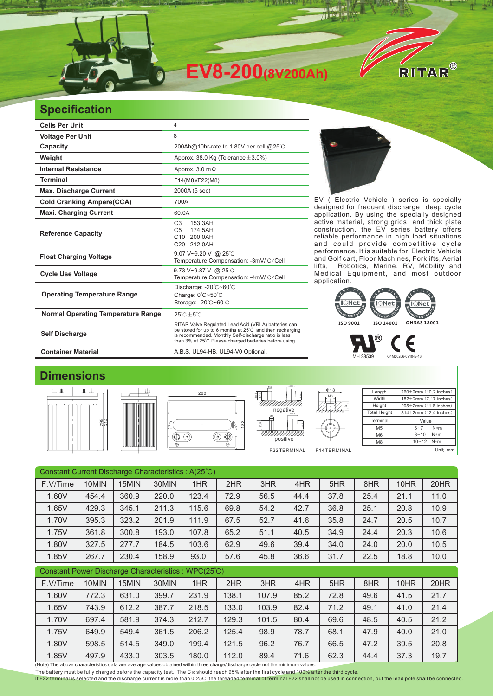

## **Specification**

| <b>Cells Per Unit</b>                     | $\overline{4}$                                                                                                                                                                                                                     |  |  |  |  |  |  |
|-------------------------------------------|------------------------------------------------------------------------------------------------------------------------------------------------------------------------------------------------------------------------------------|--|--|--|--|--|--|
| <b>Voltage Per Unit</b>                   | 8                                                                                                                                                                                                                                  |  |  |  |  |  |  |
| Capacity                                  | 200Ah@10hr-rate to 1.80V per cell @25°C                                                                                                                                                                                            |  |  |  |  |  |  |
| Weight                                    | Approx. 38.0 Kg (Tolerance $\pm$ 3.0%)                                                                                                                                                                                             |  |  |  |  |  |  |
| <b>Internal Resistance</b>                | Approx. $3.0 \text{ m}\Omega$                                                                                                                                                                                                      |  |  |  |  |  |  |
| <b>Terminal</b>                           | F14(M8)/F22(M8)                                                                                                                                                                                                                    |  |  |  |  |  |  |
| <b>Max. Discharge Current</b>             | 2000A (5 sec)                                                                                                                                                                                                                      |  |  |  |  |  |  |
| <b>Cold Cranking Ampere(CCA)</b>          | 700A                                                                                                                                                                                                                               |  |  |  |  |  |  |
| <b>Maxi. Charging Current</b>             | 60.0A                                                                                                                                                                                                                              |  |  |  |  |  |  |
| <b>Reference Capacity</b>                 | C <sub>3</sub><br>153.3AH<br>174.5AH<br>C <sub>5</sub><br>C10<br>200.0AH<br>C20 212,0AH                                                                                                                                            |  |  |  |  |  |  |
| <b>Float Charging Voltage</b>             | 9.07 V~9.20 V @ 25°C<br>Temperature Compensation: -3mV/°C/Cell                                                                                                                                                                     |  |  |  |  |  |  |
| <b>Cycle Use Voltage</b>                  | 9.73 V~9.87 V @ 25°C<br>Temperature Compensation: -4mV/°C/Cell                                                                                                                                                                     |  |  |  |  |  |  |
| <b>Operating Temperature Range</b>        | Discharge: -20°C~60°C<br>Charge: 0°C~50°C<br>Storage: -20°C~60°C                                                                                                                                                                   |  |  |  |  |  |  |
| <b>Normal Operating Temperature Range</b> | $25^{\circ}$ C $\pm 5^{\circ}$ C                                                                                                                                                                                                   |  |  |  |  |  |  |
| <b>Self Discharge</b>                     | RITAR Valve Regulated Lead Acid (VRLA) batteries can<br>be stored for up to 6 months at 25°C and then recharging<br>is recommended. Monthly Self-discharge ratio is less<br>than 3% at 25°C.Please charged batteries before using. |  |  |  |  |  |  |
| <b>Container Material</b>                 | A.B.S. UL94-HB, UL94-V0 Optional.                                                                                                                                                                                                  |  |  |  |  |  |  |



EV ( Electric Vehicle ) series is specially designed for frequent discharge deep cycle application. By using the specially designed active material, strong grids and thick plate construction, the EV series battery offers reliable performance in high load situations and could provide competitive cycle performance. It is suitable for Electric Vehicle and Golf cart, Floor Machines, Forklifts, Aerial lifts, Robotics, Marine, RV, Mobility and Medical Equipment, and most outdoor application. It is suitable for



 $0.910 - 0.16$ 

## **Dimensions**









Φ17.9

| $+19.5$ .<br>M <sub>8</sub><br>positive |             |
|-----------------------------------------|-------------|
| F22TERMINAL                             | F14TERMINAL |

5

Mε Φ18

| Length              | $260 \pm 2$ mm (10.2 inches)   |  |  |  |  |  |
|---------------------|--------------------------------|--|--|--|--|--|
| Width               | 182±2mm (7.17 inches)          |  |  |  |  |  |
| Height              | 295±2mm (11.6 inches)          |  |  |  |  |  |
| <b>Total Height</b> | $314 \pm 2$ mm $(12.4$ inches) |  |  |  |  |  |
| Terminal            | Value                          |  |  |  |  |  |
| M <sub>5</sub>      | $N*m$<br>$6 - 7$               |  |  |  |  |  |
| M <sub>6</sub>      | $N*m$<br>$8 - 10$              |  |  |  |  |  |
| M <sub>8</sub>      | $10 - 12$ N*m                  |  |  |  |  |  |
|                     | Unit: mm                       |  |  |  |  |  |

| Constant Current Discharge Characteristics: A(25°C)                                                                           |       |       |       |       |       |       |      |      |      |      |      |
|-------------------------------------------------------------------------------------------------------------------------------|-------|-------|-------|-------|-------|-------|------|------|------|------|------|
| F.V/Time                                                                                                                      | 10MIN | 15MIN | 30MIN | 1HR   | 2HR   | 3HR   | 4HR  | 5HR  | 8HR  | 10HR | 20HR |
| 1.60V                                                                                                                         | 454.4 | 360.9 | 220.0 | 123.4 | 72.9  | 56.5  | 44.4 | 37.8 | 25.4 | 21.1 | 11.0 |
| 1.65V                                                                                                                         | 429.3 | 345.1 | 211.3 | 115.6 | 69.8  | 54.2  | 42.7 | 36.8 | 25.1 | 20.8 | 10.9 |
| 1.70V                                                                                                                         | 395.3 | 323.2 | 201.9 | 111.9 | 67.5  | 52.7  | 41.6 | 35.8 | 24.7 | 20.5 | 10.7 |
| 1.75V                                                                                                                         | 361.8 | 300.8 | 193.0 | 107.8 | 65.2  | 51.1  | 40.5 | 34.9 | 24.4 | 20.3 | 10.6 |
| 1.80V                                                                                                                         | 327.5 | 277.7 | 184.5 | 103.6 | 62.9  | 49.6  | 39.4 | 34.0 | 24.0 | 20.0 | 10.5 |
| 1.85V                                                                                                                         | 267.7 | 230.4 | 158.9 | 93.0  | 57.6  | 45.8  | 36.6 | 31.7 | 22.5 | 18.8 | 10.0 |
| Constant Power Discharge Characteristics: WPC(25°C)                                                                           |       |       |       |       |       |       |      |      |      |      |      |
| F.V/Time                                                                                                                      | 10MIN | 15MIN | 30MIN | 1HR   | 2HR   | 3HR   | 4HR  | 5HR  | 8HR  | 10HR | 20HR |
| 1.60V                                                                                                                         | 772.3 | 631.0 | 399.7 | 231.9 | 138.1 | 107.9 | 85.2 | 72.8 | 49.6 | 41.5 | 21.7 |
| 1.65V                                                                                                                         | 743.9 | 612.2 | 387.7 | 218.5 | 133.0 | 103.9 | 82.4 | 71.2 | 49.1 | 41.0 | 21.4 |
| 1.70V                                                                                                                         | 697.4 | 581.9 | 374.3 | 212.7 | 129.3 | 101.5 | 80.4 | 69.6 | 48.5 | 40.5 | 21.2 |
| 1.75V                                                                                                                         | 649.9 | 549.4 | 361.5 | 206.2 | 125.4 | 98.9  | 78.7 | 68.1 | 47.9 | 40.0 | 21.0 |
| 1.80V                                                                                                                         | 598.5 | 514.5 | 349.0 | 199.4 | 121.5 | 96.2  | 76.7 | 66.5 | 47.2 | 39.5 | 20.8 |
| 1.85V                                                                                                                         | 497.9 | 433.0 | 303.5 | 180.0 | 112.0 | 89.4  | 71.6 | 62.3 | 44.4 | 37.3 | 19.7 |
| (Note) The above characteristics data are average values obtained within three charge/discharge cycle not the minimum values. |       |       |       |       |       |       |      |      |      |      |      |

The battery must be fully charged before the capacity test. The C10 should reach 95% after the first cycle and 100% after the third cycle.

If F22 terminal is selected and the discharge current is more than 0.25C, the threaded terminal of terminal F22 shall not be used in connection, but the lead pole shall be connected.